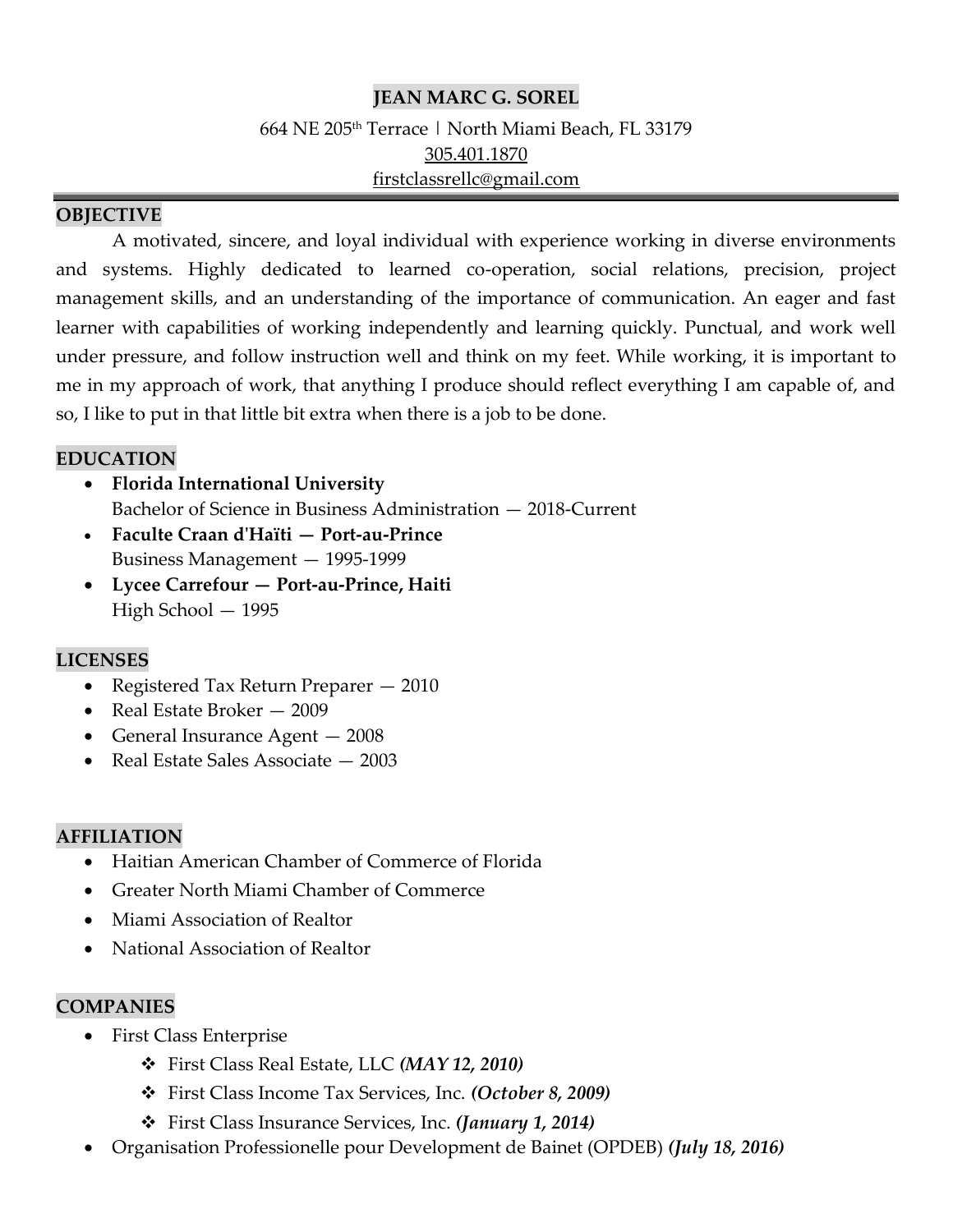### **JEAN MARC G. SOREL**

664 NE 205th Terrace | North Miami Beach, FL 33179 [305.401.1870](tel:954.549.7319) [firstclassrellc@gmail.com](mailto:sophiagdn33@gmail.com)

#### **OBJECTIVE**

A motivated, sincere, and loyal individual with experience working in diverse environments and systems. Highly dedicated to learned co-operation, social relations, precision, project management skills, and an understanding of the importance of communication. An eager and fast learner with capabilities of working independently and learning quickly. Punctual, and work well under pressure, and follow instruction well and think on my feet. While working, it is important to me in my approach of work, that anything I produce should reflect everything I am capable of, and so, I like to put in that little bit extra when there is a job to be done.

#### **EDUCATION**

- **Florida International University** Bachelor of Science in Business Administration — 2018-Current
- **Faculte Craan d'Haïti — Port-au-Prince** Business Management — 1995-1999
- **Lycee Carrefour — Port-au-Prince, Haiti** High School — 1995

# **LICENSES**

- Registered Tax Return Preparer 2010
- Real Estate Broker 2009
- General Insurance Agent 2008
- Real Estate Sales Associate 2003

### **AFFILIATION**

- Haitian American Chamber of Commerce of Florida
- Greater North Miami Chamber of Commerce
- Miami Association of Realtor
- National Association of Realtor

### **COMPANIES**

- First Class Enterprise
	- ❖ First Class Real Estate, LLC *(MAY 12, 2010)*
	- ❖ First Class Income Tax Services, Inc. *(October 8, 2009)*
	- ❖ First Class Insurance Services, Inc. *(January 1, 2014)*
- Organisation Professionelle pour Development de Bainet (OPDEB) *(July 18, 2016)*